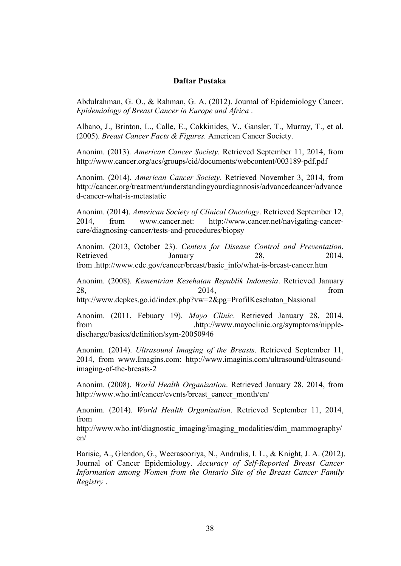## Daftar Pustaka

Abdulrahman, G. O., & Rahman, G. A. (2012). Journal of Epidemiology Cancer. *Epidemiology of Breast Cancer in Europe and Africa* .

Albano, J., Brinton, L., Calle, E., Cokkinides, V., Gansler, T., Murray, T., et al. (2005). *Breast Cancer Facts & Figures.* American Cancer Society.

Anonim. (2013). *American Cancer Society*. Retrieved September 11, 2014, from http://www.cancer.org/acs/groups/cid/documents/webcontent/003189-pdf.pdf

Anonim. (2014). *American Cancer Society*. Retrieved November 3, 2014, from http://cancer.org/treatment/understandingyourdiagnnosis/advancedcancer/advance d-cancer-what-is-metastatic

Anonim. (2014). *American Society of Clinical Oncology*. Retrieved September 12, 2014, from www.cancer.net: http://www.cancer.net/navigating-cancercare/diagnosing-cancer/tests-and-procedures/biopsy

Anonim. (2013, October 23). *Centers for Disease Control and Preventation*. Retrieved January 28, 2014, from .http://www.cdc.gov/cancer/breast/basic\_info/what-is-breast-cancer.htm

Anonim. (2008). *Kementrian Kesehatan Republik Indonesia*. Retrieved January 28, 2014, from http://www.depkes.go.id/index.php?vw=2&pg=ProfilKesehatan\_Nasional

Anonim. (2011, Febuary 19). *Mayo Clinic*. Retrieved January 28, 2014, from .http://www.mayoclinic.org/symptoms/nippledischarge/basics/definition/sym-20050946

Anonim. (2014). *Ultrasound Imaging of the Breasts*. Retrieved September 11, 2014, from www.Imagins.com: http://www.imaginis.com/ultrasound/ultrasoundimaging-of-the-breasts-2

Anonim. (2008). *World Health Organization*. Retrieved January 28, 2014, from http://www.who.int/cancer/events/breast\_cancer\_month/en/

Anonim. (2014). *World Health Organization*. Retrieved September 11, 2014, from

http://www.who.int/diagnostic\_imaging/imaging\_modalities/dim\_mammography/ en/

Barisic, A., Glendon, G., Weerasooriya, N., Andrulis, I. L., & Knight, J. A. (2012). Journal of Cancer Epidemiology. *Accuracy of Self-Reported Breast Cancer Information among Women from the Ontario Site of the Breast Cancer Family Registry* .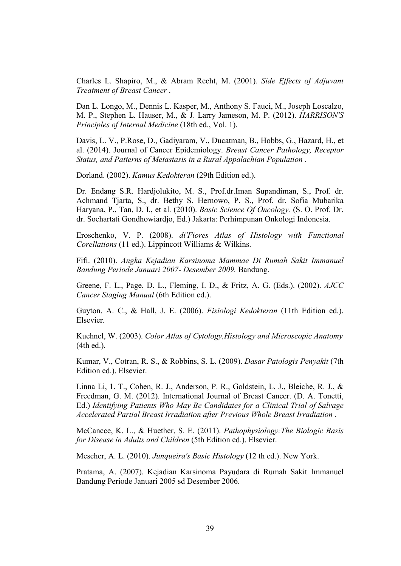Charles L. Shapiro, M., & Abram Recht, M. (2001). *Side Effects of Adjuvant Treatment of Breast Cancer* .

Dan L. Longo, M., Dennis L. Kasper, M., Anthony S. Fauci, M., Joseph Loscalzo, M. P., Stephen L. Hauser, M., & J. Larry Jameson, M. P. (2012). *HARRISON'S Principles of Internal Medicine* (18th ed., Vol. 1).

Davis, L. V., P.Rose, D., Gadiyaram, V., Ducatman, B., Hobbs, G., Hazard, H., et al. (2014). Journal of Cancer Epidemiology. *Breast Cancer Pathology, Receptor Status, and Patterns of Metastasis in a Rural Appalachian Population* .

Dorland. (2002). *Kamus Kedokteran* (29th Edition ed.).

Dr. Endang S.R. Hardjolukito, M. S., Prof.dr.Iman Supandiman, S., Prof. dr. Achmand Tjarta, S., dr. Bethy S. Hernowo, P. S., Prof. dr. Sofia Mubarika Haryana, P., Tan, D. I., et al. (2010). *Basic Science Of Oncology.* (S. O. Prof. Dr. dr. Soehartati Gondhowiardjo, Ed.) Jakarta: Perhimpunan Onkologi Indonesia.

Eroschenko, V. P. (2008). *di'Fiores Atlas of Histology with Functional Corellations* (11 ed.). Lippincott Williams & Wilkins.

Fifi. (2010). *Angka Kejadian Karsinoma Mammae Di Rumah Sakit Immanuel Bandung Periode Januari 2007- Desember 2009.* Bandung.

Greene, F. L., Page, D. L., Fleming, I. D., & Fritz, A. G. (Eds.). (2002). *AJCC Cancer Staging Manual* (6th Edition ed.).

Guyton, A. C., & Hall, J. E. (2006). *Fisiologi Kedokteran* (11th Edition ed.). Elsevier.

Kuehnel, W. (2003). *Color Atlas of Cytology,Histology and Microscopic Anatomy* (4th ed.).

Kumar, V., Cotran, R. S., & Robbins, S. L. (2009). *Dasar Patologis Penyakit* (7th Edition ed.). Elsevier.

Linna Li, 1. T., Cohen, R. J., Anderson, P. R., Goldstein, L. J., Bleiche, R. J., & Freedman, G. M. (2012). International Journal of Breast Cancer. (D. A. Tonetti, Ed.) *Identifying Patients Who May Be Candidates for a Clinical Trial of Salvage Accelerated Partial Breast Irradiation after Previous Whole Breast Irradiation* .

McCancce, K. L., & Huether, S. E. (2011). *Pathophysiology:The Biologic Basis for Disease in Adults and Children* (5th Edition ed.). Elsevier.

Mescher, A. L. (2010). *Junqueira's Basic Histology* (12 th ed.). New York.

Pratama, A. (2007). Kejadian Karsinoma Payudara di Rumah Sakit Immanuel Bandung Periode Januari 2005 sd Desember 2006.